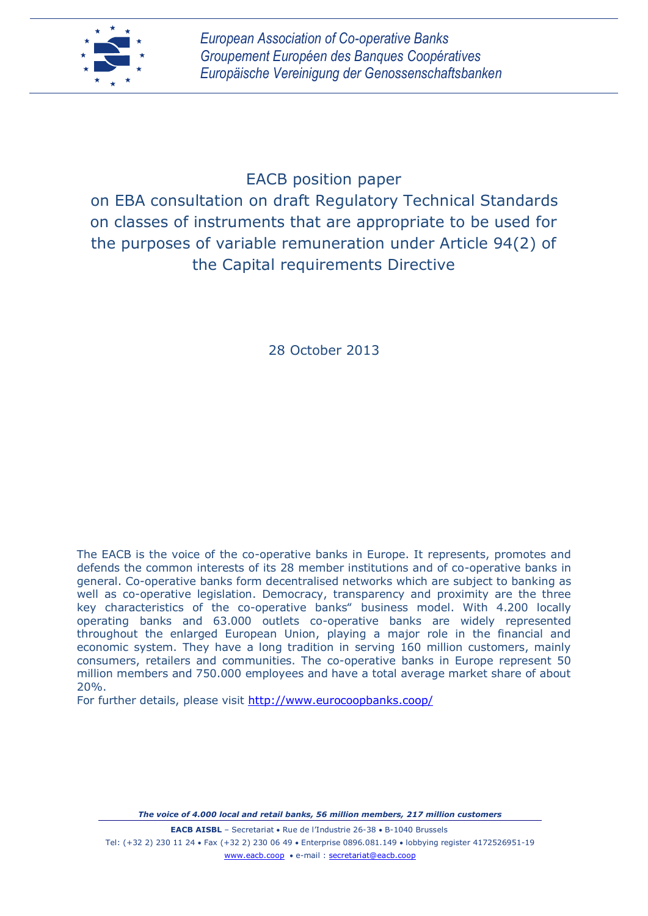

# EACB position paper

on EBA consultation on draft Regulatory Technical Standards on classes of instruments that are appropriate to be used for the purposes of variable remuneration under Article 94(2) of the Capital requirements Directive

28 October 2013

The EACB is the voice of the co-operative banks in Europe. It represents, promotes and defends the common interests of its 28 member institutions and of co-operative banks in general. Co-operative banks form decentralised networks which are subject to banking as well as co-operative legislation. Democracy, transparency and proximity are the three key characteristics of the co-operative banks" business model. With 4.200 locally operating banks and 63.000 outlets co-operative banks are widely represented throughout the enlarged European Union, playing a major role in the financial and economic system. They have a long tradition in serving 160 million customers, mainly consumers, retailers and communities. The co-operative banks in Europe represent 50 million members and 750.000 employees and have a total average market share of about 20%.

For further details, please visit<http://www.eurocoopbanks.coop/>

*The voice of 4.000 local and retail banks, 56 million members, 217 million customers*

**EACB AISBL** - Secretariat • Rue de l'Industrie 26-38 • B-1040 Brussels Tel: (+32 2) 230 11 24 Fax (+32 2) 230 06 49 Enterprise 0896.081.149 lobbying register 4172526951-19 [www.eacb.coop](http://www.eacb.coop/) • e-mail : [secretariat@eacb.coop](mailto:secretariat@eacb.coop)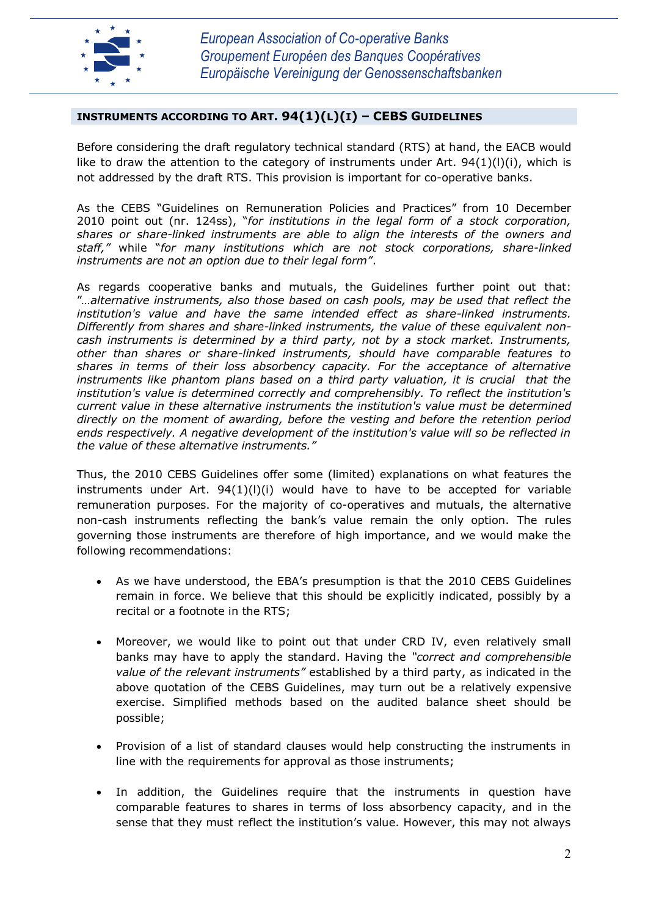

## **INSTRUMENTS ACCORDING TO ART. 94(1)(L)(I) – CEBS GUIDELINES**

Before considering the draft regulatory technical standard (RTS) at hand, the EACB would like to draw the attention to the category of instruments under Art.  $94(1)(1)(i)$ , which is not addressed by the draft RTS. This provision is important for co-operative banks.

As the CEBS "Guidelines on Remuneration Policies and Practices" from 10 December 2010 point out (nr. 124ss), "*for institutions in the legal form of a stock corporation, shares or share-linked instruments are able to align the interests of the owners and staff,"* while "*for many institutions which are not stock corporations, share-linked instruments are not an option due to their legal form"*.

As regards cooperative banks and mutuals, the Guidelines further point out that: "*…alternative instruments, also those based on cash pools, may be used that reflect the institution's value and have the same intended effect as share-linked instruments. Differently from shares and share-linked instruments, the value of these equivalent noncash instruments is determined by a third party, not by a stock market. Instruments, other than shares or share-linked instruments, should have comparable features to shares in terms of their loss absorbency capacity. For the acceptance of alternative instruments like phantom plans based on a third party valuation, it is crucial that the institution's value is determined correctly and comprehensibly. To reflect the institution's current value in these alternative instruments the institution's value must be determined directly on the moment of awarding, before the vesting and before the retention period ends respectively. A negative development of the institution's value will so be reflected in the value of these alternative instruments."* 

Thus, the 2010 CEBS Guidelines offer some (limited) explanations on what features the instruments under Art.  $94(1)(I)(i)$  would have to have to be accepted for variable remuneration purposes. For the majority of co-operatives and mutuals, the alternative non-cash instruments reflecting the bank's value remain the only option. The rules governing those instruments are therefore of high importance, and we would make the following recommendations:

- As we have understood, the EBA's presumption is that the 2010 CEBS Guidelines remain in force. We believe that this should be explicitly indicated, possibly by a recital or a footnote in the RTS;
- Moreover, we would like to point out that under CRD IV, even relatively small banks may have to apply the standard. Having the *"correct and comprehensible value of the relevant instruments"* established by a third party, as indicated in the above quotation of the CEBS Guidelines, may turn out be a relatively expensive exercise. Simplified methods based on the audited balance sheet should be possible;
- Provision of a list of standard clauses would help constructing the instruments in line with the requirements for approval as those instruments;
- In addition, the Guidelines require that the instruments in question have comparable features to shares in terms of loss absorbency capacity, and in the sense that they must reflect the institution's value. However, this may not always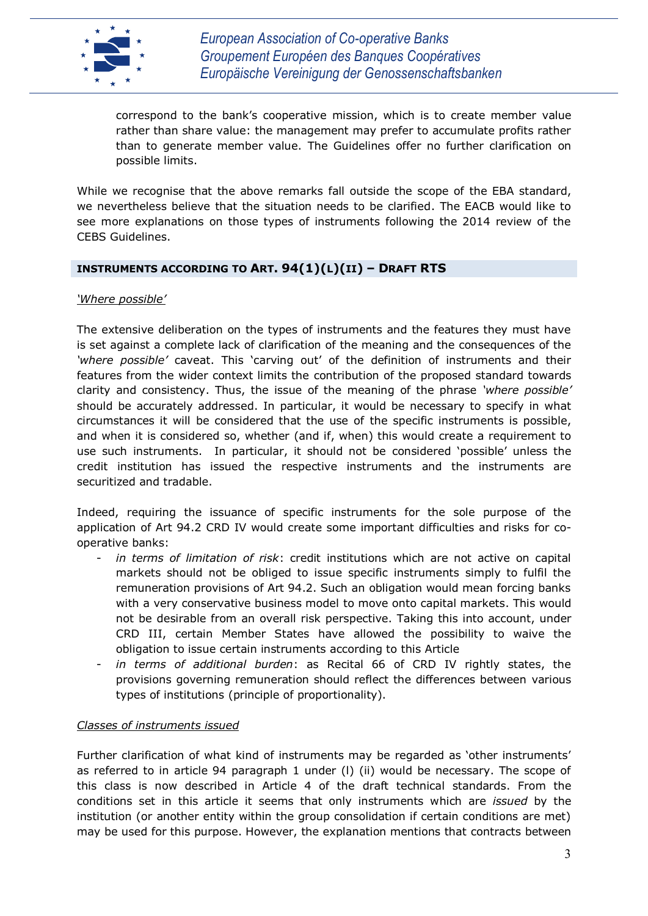

*European Association of Co-operative Banks Groupement Européen des Banques Coopératives Europäische Vereinigung der Genossenschaftsbanken*

correspond to the bank's cooperative mission, which is to create member value rather than share value: the management may prefer to accumulate profits rather than to generate member value. The Guidelines offer no further clarification on possible limits.

While we recognise that the above remarks fall outside the scope of the EBA standard, we nevertheless believe that the situation needs to be clarified. The EACB would like to see more explanations on those types of instruments following the 2014 review of the CEBS Guidelines.

### **INSTRUMENTS ACCORDING TO ART. 94(1)(L)(II) – DRAFT RTS**

### *'Where possible'*

The extensive deliberation on the types of instruments and the features they must have is set against a complete lack of clarification of the meaning and the consequences of the *'where possible'* caveat. This 'carving out' of the definition of instruments and their features from the wider context limits the contribution of the proposed standard towards clarity and consistency. Thus, the issue of the meaning of the phrase *'where possible'* should be accurately addressed. In particular, it would be necessary to specify in what circumstances it will be considered that the use of the specific instruments is possible, and when it is considered so, whether (and if, when) this would create a requirement to use such instruments. In particular, it should not be considered 'possible' unless the credit institution has issued the respective instruments and the instruments are securitized and tradable.

Indeed, requiring the issuance of specific instruments for the sole purpose of the application of Art 94.2 CRD IV would create some important difficulties and risks for cooperative banks:

- in terms of limitation of risk: credit institutions which are not active on capital markets should not be obliged to issue specific instruments simply to fulfil the remuneration provisions of Art 94.2. Such an obligation would mean forcing banks with a very conservative business model to move onto capital markets. This would not be desirable from an overall risk perspective. Taking this into account, under CRD III, certain Member States have allowed the possibility to waive the obligation to issue certain instruments according to this Article
- in terms of additional burden: as Recital 66 of CRD IV rightly states, the provisions governing remuneration should reflect the differences between various types of institutions (principle of proportionality).

### *Classes of instruments issued*

Further clarification of what kind of instruments may be regarded as 'other instruments' as referred to in article 94 paragraph 1 under (l) (ii) would be necessary. The scope of this class is now described in Article 4 of the draft technical standards. From the conditions set in this article it seems that only instruments which are *issued* by the institution (or another entity within the group consolidation if certain conditions are met) may be used for this purpose. However, the explanation mentions that contracts between